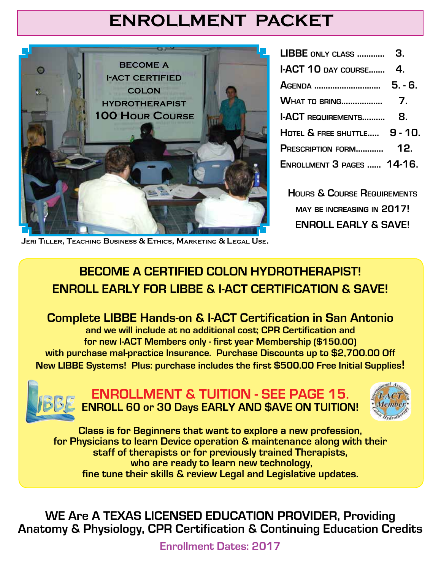# **ENROLLMENT PACKET**



| I-ACT 10 DAY COURSE          | 4.      |
|------------------------------|---------|
| AGENDA                       | $5.-6.$ |
|                              |         |
| <b>I-ACT REQUIREMENTS</b>    | 8.      |
| HOTEL & FREE SHUTTLE 9 - 10. |         |
|                              |         |
| ENROLLMENT 3 PAGES  14-16.   |         |

**Hours & Course Requirements may be increasing in 2017! ENROLL EARLY & SAVE!**

**Jeri Tiller, Teaching Business & Ethics, Marketing & Legal Use.**

## **BECOME A CERTIFIED COLON HYDROTHERAPIST! ENROLL EARLY FOR LIBBE & I-ACT CERTIFICATION & SAVE!**

 **Complete LIBBE Hands-on & I-ACT Certification in San Antonio and we will include at no additional cost; CPR Certification and for new I-ACT Members only - first year Membership (\$150.00) with purchase mal-practice Insurance. Purchase Discounts up to \$2,700.00 Off New LIBBE Systems! Plus: purchase includes the first \$500.00 Free Initial Supplies!**



**ENROLLMENT & TUITION - SEE PAGE 15. ENROLL 60 or 30 Days EARLY AND \$AVE ON TUITION!**



**Class is for Beginners that want to explore a new profession, for Physicians to learn Device operation & maintenance along with their staff of therapists or for previously trained Therapists, who are ready to learn new technology, fine tune their skills & review Legal and Legislative updates.**

**WE Are A TEXAS LICENSED EDUCATION PROVIDER, Providing Anatomy & Physiology, CPR Certification & Continuing Education Credits**

**Enrollment Dates: 2017**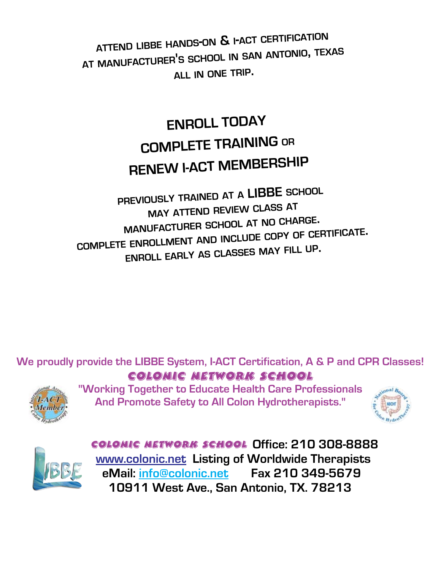**attend libbe hands-on & <sup>i</sup>-act certification at manufacturer'<sup>s</sup> school in san antonio, texas all in one trip.**

# **ENROLL TODAY COMPLETE TRAINING or RENEW I-ACT MEMBERSHIP**

**previously trained at <sup>a</sup> LIBBE school may attend review class at manufacturer school at no charge. complete enrollment and include copy of certificate. enroll early as classes may fill up.**

**We proudly provide the LIBBE System, I-ACT Certification, A & P and CPR Classes!** Colonic NetWORK School



**"Working Together to Educate Health Care Professionals And Promote Safety to All Colon Hydrotherapists."**





Colonic NetWORK School **Office: 210 308-8888 www.colonic.net Listing of Worldwide Therapists eMail: info@colonic.net Fax 210 349-5679 10911 West Ave., San Antonio, TX. 78213**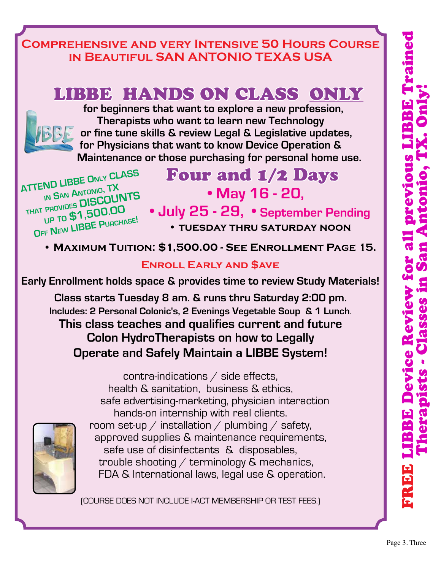## **Comprehensive and very Intensive 50 Hours Course in Beautiful SAN ANTONIO TEXAS USA**

# LIBBE HANDS ON CLASS ONLY



 **for beginners that want to explore a new profession, Therapists who want to learn new Technology or fine tune skills & review Legal & Legislative updates, for Physicians that want to know Device Operation & Maintenance or those purchasing for personal home use.**

**ATTEND LIBBE Only CLASS in <sup>S</sup>an <sup>A</sup>ntonio, TX that provides DISCOUNTS up to \$1,500.OO <sup>O</sup>ff <sup>N</sup>ew LIBBE Purchase!**

 Four and 1/2 Days **• May 16 - 20,**

 **• July 25 - 29, • September Pending • tuesday thru saturday noon** 

 **• Maximum Tuition: \$1,500.00 - See Enrollment Page 15.**

## **Enroll Early and \$ave**

**Early Enrollment holds space & provides time to review Study Materials!**

**Class starts Tuesday 8 am. & runs thru Saturday 2:00 pm. Includes: 2 Personal Colonic's, 2 Evenings Vegetable Soup & 1 Lunch**. **This class teaches and qualifies current and future Colon HydroTherapists on how to Legally Operate and Safely Maintain a LIBBE System!**

contra-indications / side effects, health & sanitation, business & ethics, safe advertising-marketing, physician interaction hands-on internship with real clients. room set-up  $/$  installation  $/$  plumbing  $/$  safety, approved supplies & maintenance requirements, safe use of disinfectants & disposables, trouble shooting  $/$  terminology  $\&$  mechanics, FDA & International laws, legal use & operation.

(COURSE DOES NOT INCLUDE I-ACT MEMBERSHIP OR TEST FEES.)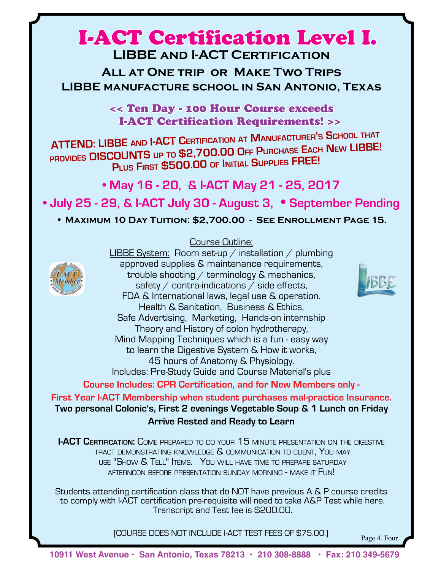## I-ACT Certification Level I. **LIBBE and I-ACT Certification**

**All at One trip or Make Two Trips LIBBE manufacture school in San Antonio, Texas** 

> << Ten Day - 100 Hour Course exceeds I-ACT Certification Requirements! >>

 **<sup>P</sup>lus <sup>F</sup>irst \$500.00 of <sup>I</sup>nitial <sup>S</sup>upplies FREE!ATTEND: LIBBE and I-ACT Certification at <sup>M</sup>anufacturer'<sup>s</sup> <sup>S</sup>chool that provides DISCOUNTS up to \$2,700.00 Off <sup>P</sup>urchase <sup>E</sup>ach <sup>N</sup>ew LIBBE!**

**• May 16 - 20, & I-ACT May 21 - 25, 2017**

**• July 25 - 29, & I-ACT July 30 - August 3, • September Pending**

**• Maximum 10 Day Tuition: \$2,700.00 - See Enrollment Page 15.**

#### Course Outline;



LIBBE System: Room set-up / installation / plumbing approved supplies & maintenance requirements, trouble shooting / terminology & mechanics, safety  $\angle$  contra-indications  $\angle$  side effects, FDA & International laws, legal use & operation. Health & Sanitation, Business & Ethics, Safe Advertising, Marketing, Hands-on internship Theory and History of colon hydrotherapy, Mind Mapping Techniques which is a fun - easy way to learn the Digestive System & How it works, 45 hours of Anatomy & Physiology. Includes: Pre-Study Guide and Course Material's plus

**Course Includes: CPR Certification, and for New Members only -** 

**First Year I-ACT Membership when student purchases mal-practice Insurance. Two personal Colonic's, First 2 evenings Vegetable Soup & 1 Lunch on Friday Arrive Rested and Ready to Learn** 

**I-ACT CERTIFICATION:** COME PREPARED TO DO YOUR 15 MINUTE PRESENTATION ON THE DIGESTIVE TRACT DEMONSTRATING KNOWLEDGE  $\mathcal S$  communication to client, You may use "Show & Tell" Items. You will have time to prepare saturday afternoon before presentation sunday morning - make it Fun!

Students attending certification class that do NOT have previous A & P course credits to comply with I-ACT certification pre-requisite will need to take A&P Test while here. Transcript and Test fee is \$200.00.

(COURSE DOES NOT INCLUDE I-ACT TEST FEES OF \$75.00.) Page 4. Four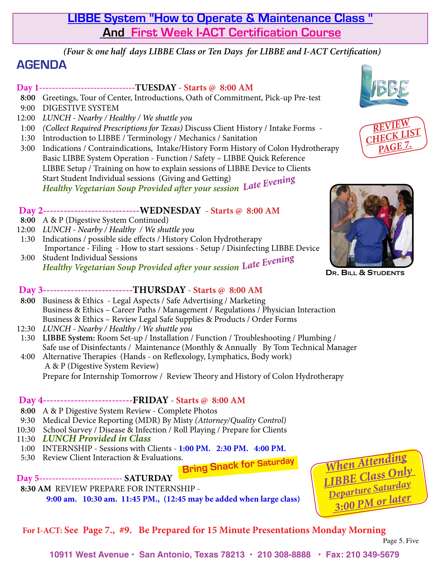## **LIBBE System "How to Operate & Maintenance Class " And First Week I-ACT Certification Course**

*(Four* & *one half days LIBBE Class or Ten Days for LIBBE and I-ACT Certification)*

## **AGENDA**

#### **Day 1------------------------------TUESDAY - Starts @ 8:00 AM**

- **8:00** Greetings, Tour of Center, Introductions, Oath of Commitment, Pick-up Pre-test
- 9:00 DIGESTIVE SYSTEM
- 12:00 *LUNCH Nearby / Healthy / We shuttle you*
- 1:00 *(Collect Required Prescriptions for Texas)* Discuss Client History / Intake Forms -
- 1:30 Introduction to LIBBE / Terminology / Mechanics / Sanitation
- 3:00 Indications / Contraindications, Intake/History Form History of Colon Hydrotherapy Basic LIBBE System Operation - Function / Safety – LIBBE Quick Reference LIBBE Setup / Training on how to explain sessions of LIBBE Device to Clients Start Student Individual sessions (Giving and Getting) *Healthy Vegetarian Soup Provided after your session Late Evening*

#### **Day 2----------------------------WEDNESDAY - Starts @ 8:00 AM**

- **8:00** A & P (Digestive System Continued)
- 12:00 *LUNCH Nearby / Healthy / We shuttle you*
- 1:30 Indications / possible side effects / History Colon Hydrotherapy Importance - Filing - How to start sessions - Setup / Disinfecting LIBBE Device<br>3:00 Student Individual Sessions 3:00 Student Individual Sessions

*Healthy Vegetarian Soup Provided after your session Late Evening*

#### **Day 3--------------------------THURSDAY - Starts @ 8:00 AM**

- **8:00** Business & Ethics Legal Aspects / Safe Advertising / Marketing Business & Ethics – Career Paths / Management / Regulations / Physician Interaction Business & Ethics – Review Legal Safe Supplies & Products / Order Forms
- 12:30 *LUNCH Nearby / Healthy / We shuttle you*
- 1:30 **LIBBE System:** Room Set-up / Installation / Function / Troubleshooting / Plumbing / Safe use of Disinfectants / Maintenance (Monthly & Annually By Tom Technical Manager
- 4:00 Alternative Therapies (Hands on Reflexology, Lymphatics, Body work) A & P (Digestive System Review) Prepare for Internship Tomorrow / Review Theory and History of Colon Hydrotherapy

#### **Day 4--------------------------FRIDAY - Starts @ 8:00 AM**

- **8:00** A & P Digestive System Review Complete Photos
- 9:30 Medical Device Reporting (MDR) By Misty *(Attorney/Quality Control)*
- 10:30 School Survey / Disease & Infection / Roll Playing / Prepare for Clients
- 11:30 *LUNCH Provided in Class*
- 1:00 INTERNSHIP Sessions with Clients - **1:00 PM. 2:30 PM. 4:00 PM.**
- 5:30 Review Client Interaction & Evaluations.

 **Bring Snack for Saturday**

#### **Day 5-------------------------- SATURDAY**

## **8:30 AM** REVIEW PREPARE FOR INTERNSHIP -

**9:00 am. 10:30 am. 11:45 PM., (12:45 may be added when large class)**



## **For I-ACT: See Page 7., #9. Be Prepared for 15 Minute Presentations Monday Morning**



**10911 West Avenue • San Antonio, Texas 78213 • 210 308-8888 • Fax: 210 349-5679**







**Dr. Bill & Students**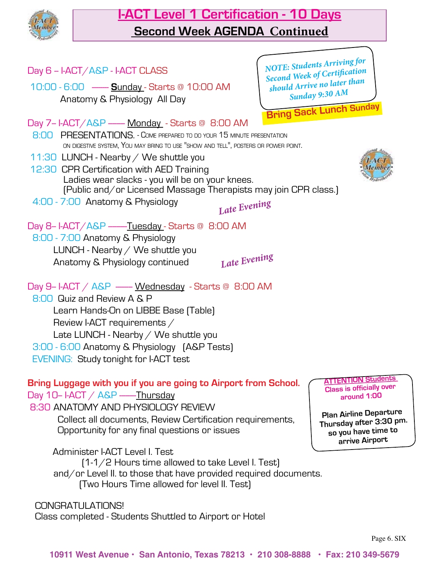![](_page_5_Picture_0.jpeg)

## **I-ACT Level 1 Certification - 10 Days Second Week AGENDA Continued**

| Day 6 - I-ACT/A&P - I-ACT CLASS                                                                                                                                                                                                                                                                                                                                                                                                                                            | NOTE: Students Arriving for<br>Second Week of Certification                                                                                                                      |
|----------------------------------------------------------------------------------------------------------------------------------------------------------------------------------------------------------------------------------------------------------------------------------------------------------------------------------------------------------------------------------------------------------------------------------------------------------------------------|----------------------------------------------------------------------------------------------------------------------------------------------------------------------------------|
| 10:00 - 6:00 --- <b>Sunday</b> - Starts @ 10:00 AM<br>Anatomy & Physiology All Day                                                                                                                                                                                                                                                                                                                                                                                         | should Arrive no later than<br>Sunday 9:30 AM<br><b>Bring Sack Lunch Sunday</b>                                                                                                  |
| Day 7-I-ACT/A&P - Monday - Starts @ 8:00 AM<br>8:00 PRESENTATIONS. - COME PREPARED TO DO YOUR 15 MINUTE PRESENTATION<br>ON DIGESTIVE SYSTEM, YOU MAY BRING TO USE "SHOW AND TELL", POSTERS OR POWER POINT.<br>11:30 LUNCH - Nearby / We shuttle you<br>12:30 CPR Certification with AED Training<br>Ladies wear slacks - you will be on your knees.<br>(Public and/or Licensed Massage Therapists may join CPR class.)<br>4:00 - 7:00 Anatomy & Physiology<br>Late Evening |                                                                                                                                                                                  |
| Day 8-I-ACT/A&P ----- <u>Tuesday</u> - Starts @ 8:00 AM<br>8:00 - 7:00 Anatomy & Physiology<br>LUNCH - Nearby $\diagup$ We shuttle you<br>Late Evening<br>Anatomy & Physiology continued                                                                                                                                                                                                                                                                                   |                                                                                                                                                                                  |
| Day 9-I-ACT / $A\&P$ - Wednesday - Starts @ 8:00 AM<br>8:00 Quiz and Review A & P<br>Learn Hands-On on LIBBE Base (Table)<br>Review I-ACT requirements /<br>Late LUNCH - Nearby / We shuttle you<br>3:00 - 6:00 Anatomy & Physiology [A&P Tests]<br><b>EVENING: Study tonight for I-ACT test</b>                                                                                                                                                                           |                                                                                                                                                                                  |
| Bring Luggage with you if you are going to Airport from School.<br>Day 10-I-ACT / A&P ----Thursday<br>8:30 ANATOMY AND PHYSIOLOGY REVIEW<br>Collect all documents, Review Certification requirements,<br>Opportunity for any final questions or issues<br>Administer I-ACT Level I. Test                                                                                                                                                                                   | <b>ATTENTION Students</b><br><b>Class is officially over</b><br>around 1:00<br><b>Plan Airline Departure</b><br>Thursday after 3:30 pm.<br>so you have time to<br>arrive Airport |
| [1-1/2 Hours time allowed to take Level I. Test]<br>and/or Level II. to those that have provided required documents.<br>[Two Hours Time allowed for level II. Test]                                                                                                                                                                                                                                                                                                        |                                                                                                                                                                                  |

 CONGRATULATIONS! Class completed - Students Shuttled to Airport or Hotel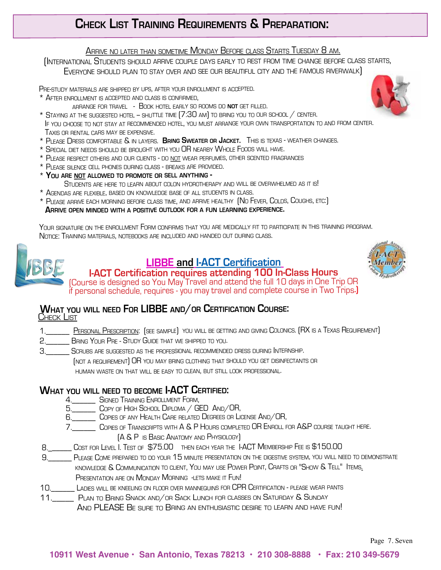## **Check List Training Requirements & Preparation:**

<u>Arrive no later than sometime Monday Before class Starts Tuesday 8 am.</u><br>(International Students should arrive couple days early to rest from time change before class starts, Everyone should plan to stay over and see our beautiful city and the famous riverwalk)

Pre-study materials are shipped by ups, after your enrollment is accepted.

- \* After enrollment is accepted and class is confirmed,
	- arrange for travel Book hotel early so rooms do **not** get filled.
- \* STAYING AT THE SUGGESTED HOTEL SHUTTLE TIME [7:30 AM] TO BRING YOU TO OUR SCHOOL / CENTER.<br>IF YOU CHOOSE TO NOT STAY AT RECOMMENDED HOTEL, YOU MUST ARRANGE YOUR OWN TRANSPORTATION TO AND FROM CENTER.<br>TAXIS OR RENTAL CA
- \* Please Dress comfortable & in layers. **Bring Sweater or Jacket.** This is texas weather changes.
- \* Special diet needs should be brought with you OR nearby Whole Foods will have.
- \* Please respect others and our clients do not wear perfumes, other scented fragrances
- \* Please silence cell phones during class breaks are provided.
- \* **You are not allowed to promote or sell anything** Students are here to learn about colon hydrotherapy and will be overwhelmed as it is!
- \* Agendas are flexible, based on knowledge base of all students in class.
- \* Please arrive each morning before class time, and arrive healthy (N<sup>o</sup> Fever, Colds, Coughs, etc:) **Arrive open minded with <sup>a</sup> positive outlook for <sup>a</sup> fun learning experience.**

 Your signature on the enrollment Form confirms that you are medically fit to participate in this training program. Notice: Training materials, notebooks are included and handed out during class.

![](_page_6_Picture_15.jpeg)

### **LIBBE and I-ACT Certification**

![](_page_6_Picture_17.jpeg)

**I-ACT Certification requires attending 100 In-Class Hours** (Course is designed so You May Travel and attend the full 10 days in One Trip OR if personal schedule, requires - you may travel and complete course in Two Trips**.)**

#### **What you will need For LIBBE and/or Certification Course:**Check List

- 1. \_\_\_\_\_\_ PERSONAL PRESCRIPTION: (SEE SAMPLE) YOU WILL BE GETTING AND GIVING COLONICS. (RX IS A TEXAS REQUIREMENT)
- 2. BRING YOUR PRE STUDY GUIDE THAT WE SHIPPED TO YOU.
- 3.\_\_\_\_\_\_ Scrubs are suggested as the professional recommended dress during Internship.
	- (not <sup>a</sup> requirement) OR you may bring clothing that should you get disinfectants or

human waste on that will be easy to clean, but still look professional.

#### **What you will need to become I-ACT Certified:**

- 4.\_\_\_\_\_\_ Signed Training Enrollment Form,
- 5.\_\_\_\_\_\_ Copy of High School Diploma / GED And/OR,
- 6.\_\_\_\_\_\_ Copies of any Health Care related Degrees or License And/OR,
- 7.\_\_\_\_\_\_ Copies of Transcripts with A & P Hours completed OR Enroll for A&P course taught here.
	- (A & P is Basic Anatomy and Physiology)
- 8. \_\_\_\_\_ Cost for Level I. Test of \$75.00 then each year the I-ACT Membership Fee is \$150.00
- 9.\_\_\_\_\_\_ Please Come prepared to do your 15 minute presentation on the digestive system, you will need to demonstrate knowledge & Communication to client, You may use Power Point, Crafts or "Show & Tell" Items. PRESENTATION ARE ON MONDAY MORNING -LETS MAKE IT FUN!
- 10.\_\_\_\_\_\_ Ladies will be kneeling on floor over mannequins for CPR Certification please wear pants
- 11.\_\_\_\_\_ Plan to Bring Snack and/or Sack Lunch for classes on Saturday & Sunday
	- AND PLEASE BE SURE TO BRING AN ENTHUSIASTIC DESIRE TO LEARN AND HAVE FUN!

![](_page_6_Picture_38.jpeg)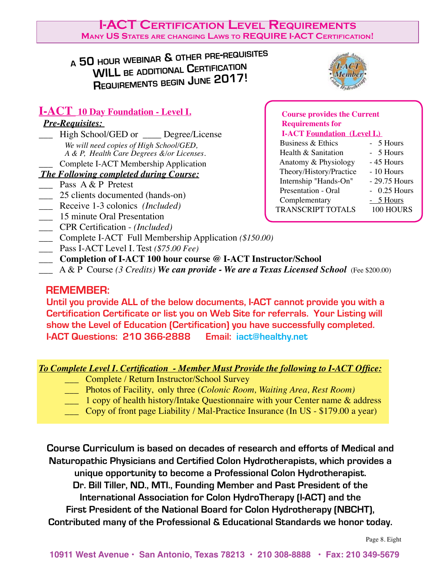#### **I-ACT Certification Level Requirements Many US States are changing Laws to REQUIRE I-ACT Certification!**

## **<sup>a</sup> <sup>50</sup>hour webinar & other pre-requisites WILL be additional <sup>C</sup>ertification <sup>R</sup>equirements begin June 2017!**

![](_page_7_Picture_2.jpeg)

#### **I-ACT 10 Day Foundation - Level I.**

#### *Pre-Requisites:*

High School/GED or Degree/License *We will need copies of High School/GED, A & P, Health Care Degrees &/or Licenses.* \_\_\_ Complete I-ACT Membership Application

#### *The Following completed during Course:*

- Pass A & P Pretest
- 25 clients documented (hands-on)
- \_\_\_ Receive 1-3 colonics *(Included)*
- \_\_\_ 15 minute Oral Presentation
- \_\_\_ CPR Certification *(Included)*
- \_\_\_ Complete I-ACT Full Membership Application *(\$150.00)*
- \_\_\_ Pass I-ACT Level I. Test *(\$75.00 Fee)*
- \_\_\_ **Completion of I-ACT 100 hour course @ I-ACT Instructor/School**
- \_\_\_ A & P Course *(3 Credits) We can provide We are a Texas Licensed School* (Fee \$200.00)

#### **REMEMBER:**

 **Until you provide ALL of the below documents, I-ACT cannot provide you with a Certification Certificate or list you on Web Site for referrals. Your Listing will show the Level of Education (Certification) you have successfully completed. I-ACT Questions: 210 366-2888 Email: iact@healthy.net**

#### *To Complete Level I. Certification - Member Must Provide the following to I-ACT Office:*

- \_\_\_ Complete / Return Instructor/School Survey
- \_\_\_ Photos of Facility, only three (*Colonic Room, Waiting Area, Rest Room)*
- 1 copy of health history/Intake Questionnaire with your Center name & address
- \_\_\_ Copy of front page Liability / Mal-Practice Insurance (In US \$179.00 a year)

**Course Curriculum is based on decades of research and efforts of Medical and Naturopathic Physicians and Certified Colon Hydrotherapists, which provides a unique opportunity to become a Professional Colon Hydrotherapist. Dr. Bill Tiller, ND., MTI., Founding Member and Past President of the International Association for Colon HydroTherapy (I-ACT) and the First President of the National Board for Colon Hydrotherapy (NBCHT), Contributed many of the Professional & Educational Standards we honor today.**

#### **Course provides the Current Requirements for I-ACT Foundation (Level I.)**  Business  $& Ethics \rightarrow 5$  Hours Health  $\&$  Sanitation  $-5$  Hours

| Anatomy & Physiology     | - 45 Hours    |
|--------------------------|---------------|
| Theory/History/Practice  | - 10 Hours    |
| Internship "Hands-On"    | - 29.75 Hours |
| Presentation - Oral      | $-0.25$ Hours |
| Complementary            | $-5$ Hours    |
| <b>TRANSCRIPT TOTALS</b> | 100 HOURS     |
|                          |               |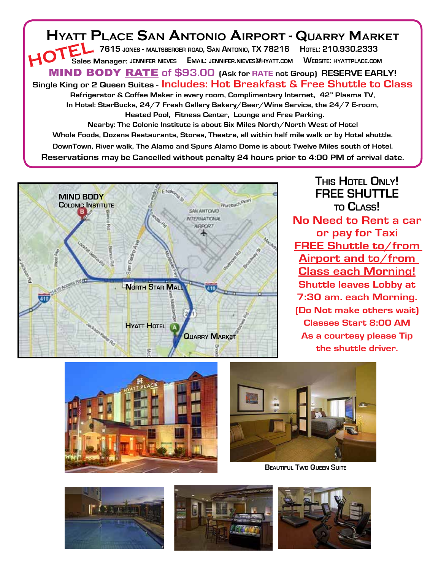**Hyatt Place San Antonio Airport - Quarry Market 7615 jones - maltsberger road, San Antonio, TX 78216 Hotel: 210.930.2333 Sales Manager: jennifer nieves Email: jennifer.nieves@hyatt.com Website: hyattplace.com** MIND BODY RATE **of \$93.00 (Ask for RATE not Group) RESERVE EARLY! Single King or 2 Queen Suites - Includes: Hot Breakfast & Free Shuttle to Class Refrigerator & Coffee Maker in every room, Complimentary Internet, 42" Plasma TV, In Hotel: StarBucks, 24/7 Fresh Gallery Bakery/Beer/Wine Service, the 24/7 E-room, Heated Pool, Fitness Center, Lounge and Free Parking. Nearby: The Colonic Institute is about Six Miles North/North West of Hotel Whole Foods, Dozens Restaurants, Stores, Theatre, all within half mile walk or by Hotel shuttle. DownTown, River walk, The Alamo and Spurs Alamo Dome is about Twelve Miles south of Hotel. Reservations may be Cancelled without penalty 24 hours prior to 4:00 PM of arrival date. HOTEL**

![](_page_8_Picture_1.jpeg)

**This Hotel Only! FREE SHUTTLE to Class! No Need to Rent a car or pay for Taxi FREE Shuttle to/from Airport and to/from Class each Morning! Shuttle leaves Lobby at 7:30 am. each Morning. (Do Not make others wait) Classes Start 8:00 AM As a courtesy please Tip the shuttle driver.**

![](_page_8_Picture_3.jpeg)

![](_page_8_Picture_4.jpeg)

**Beautiful Two Queen Suite**

![](_page_8_Picture_6.jpeg)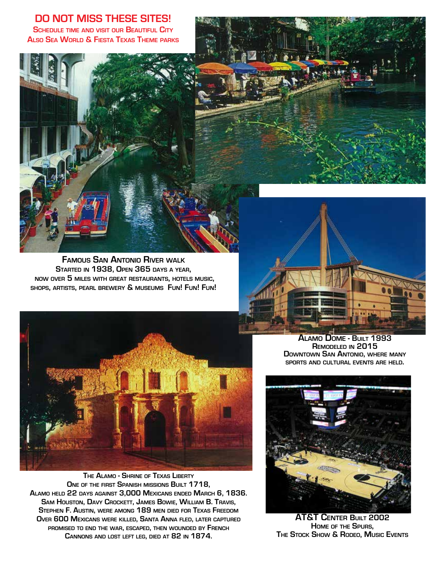**DO NOT MISS THESE SITES! Schedule time and visit our Beautiful City Also Sea World & Fiesta Texas Theme parks**

![](_page_9_Picture_1.jpeg)

**Famous San Antonio River walk Started in 1938, Open 365 days <sup>a</sup> year, now over 5 miles with great restaurants, hotels music, shops, artists, pearl brewery & museums Fun! Fun! Fun!**

![](_page_9_Picture_3.jpeg)

**The Alamo - Shrine of Texas Liberty One of the first Spanish missions Built 1718, Alamo held 22 days against 3,000 Mexicans ended March 6, 1836. Sam Houston, Davy Crockett, James Bowie, William B. Travis, Stephen F. Austin, were among 189 men died for Texas Freedom Over 600 Mexicans were killed, Santa Anna fled, later captured promised to end the war, escaped, then wounded by French Cannons and lost left leg, died at 82 in 1874.**

**Alamo Dome - Built 1993 Remodeled in 2015 Downtown San Antonio, where many sports and cultural events are held.**

![](_page_9_Picture_6.jpeg)

**AT&T Center Built 2002 Home of the Spurs, The Stock Show & Rodeo, Music Events**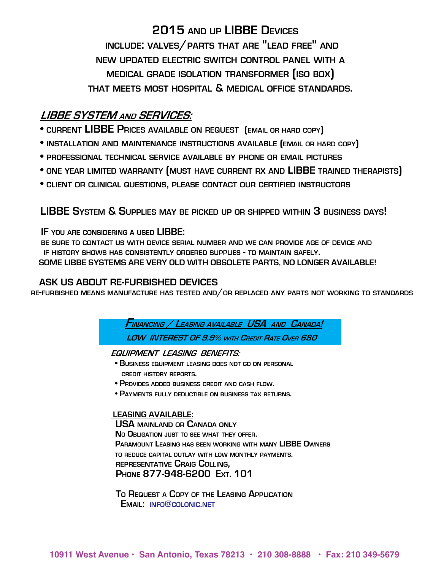**2015 and up LIBBE Devices include: valves/parts that are "lead free" and new updated electric switch control panel with a medical grade isolation transformer (iso box) that meets most hospital & medical office standards.**

## **LIBBE SYSTEM and SERVICES:**

- **current LIBBE Prices available on request (email or hard copy)**
- **installation and maintenance instructions available (email or hard copy)**
- **professional technical service available by phone or email pictures**
- **one year limited warranty (must have current rx and LIBBE trained therapists)**
- **client or clinical questions, please contact our certified instructors**

 **LIBBE System & Supplies may be picked up or shipped within 3 business days!**

 **IF you are considering <sup>a</sup> used LIBBE:**

 **be sure to contact us with device serial number and we can provide age of device and**  IF HISTORY SHOWS HAS CONSISTENTLY ORDERED SUPPLIES - TO MAINTAIN SAFELY.<br>SOME LIBBE SYSTEMS ARE VERY OLD WITH OBSOLETE PARTS, NO LONGER AVAILABLE!

ASK US ABOUT RE-FURBISHED DEVICES THE PLACED ANY PARTS NOT WORKING TO STANDARDS RE-FURBISHED MEANS MANUFACTURE HAS TESTED AND/OR REPLACED ANY PARTS NOT WORKING TO STANDARDS

 **Financing / Leasing available USA and Canada! LOW INTEREST OF 9.9% with Credit Rate Over 680**

#### **EQUIPMENT LEASING BENEFITS:**

- **Business equipment leasing does not go on personal credit history reports.**
- **Provides added business credit and cash flow.**
- **Payments fully deductible on business tax returns.**

#### **LEASING AVAILABLE:**

**USA mainland or Canada only No Obligation just to see what they offer. Paramount Leasing has been working with many LIBBE Owners to reduce capital outlay with low monthly payments. representative Craig Colling, Phone 877-948-6200 Ext. 101**

 **To Request <sup>a</sup> Copy of the Leasing Application Email: info@colonic.net**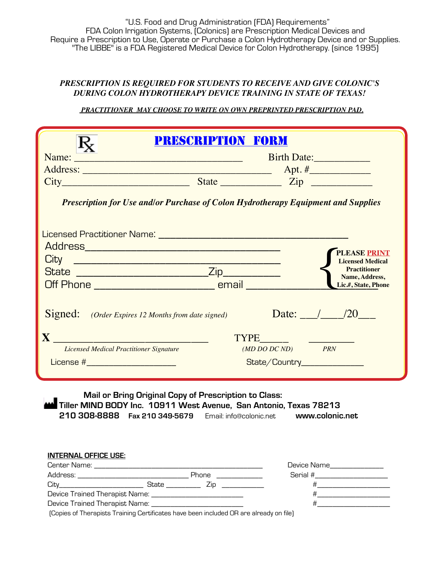"U.S. Food and Drug Administration (FDA) Requirements" FDA Colon Irrigation Systems, (Colonics) are Prescription Medical Devices and Require a Prescription to Use, Operate or Purchase a Colon Hydrotherapy Device and or Supplies. "The LIBBE" is a FDA Registered Medical Device for Colon Hydrotherapy. (since 1995)

#### *PRESCRIPTION IS REQUIRED FOR STUDENTS TO RECEIVE AND GIVE COLONIC'S DURING COLON HYDROTHERAPY DEVICE TRAINING IN STATE OF TEXAS!*

 *PRACTITIONER MAY CHOOSE TO WRITE ON OWN PREPRINTED PRESCRIPTION PAD.*

|                                                                                                                                                                                                                                                                               | PRESCRIPTION FORM                                                                        |
|-------------------------------------------------------------------------------------------------------------------------------------------------------------------------------------------------------------------------------------------------------------------------------|------------------------------------------------------------------------------------------|
|                                                                                                                                                                                                                                                                               | Birth Date:                                                                              |
|                                                                                                                                                                                                                                                                               |                                                                                          |
|                                                                                                                                                                                                                                                                               |                                                                                          |
|                                                                                                                                                                                                                                                                               | <b>Prescription for Use and/or Purchase of Colon Hydrotherapy Equipment and Supplies</b> |
|                                                                                                                                                                                                                                                                               |                                                                                          |
|                                                                                                                                                                                                                                                                               | <b>PLEASE PRINT</b>                                                                      |
|                                                                                                                                                                                                                                                                               | <b>Licensed Medical</b>                                                                  |
|                                                                                                                                                                                                                                                                               | <b>Practitioner</b><br>Name, Address,                                                    |
| Off Phone __________________________________ email __________                                                                                                                                                                                                                 | Lic.#, State, Phone                                                                      |
|                                                                                                                                                                                                                                                                               |                                                                                          |
| <b>Signed:</b> (Order Expires 12 Months from date signed)                                                                                                                                                                                                                     | Date: $/20$                                                                              |
| <b>Licensed Medical Practitioner Signature</b>                                                                                                                                                                                                                                | $(MD\,DO\,DC\,ND)$ PRN                                                                   |
| $\mathbf{X}$ <u>denotes the set of the set of the set of the set of the set of the set of the set of the set of the set of the set of the set of the set of the set of the set of the set of the set of the set of the set of the s</u><br>License #_________________________ | State/Country________________                                                            |
| Mail or Bring Original Copy of Prescription to Class:<br>Tiller MIND BODY Inc. 10911 West Avenue, San Antonio, Texas 78213<br>210 308-8888 Fax 210 349-5679 Email: info@colonic.net www.colonic.net                                                                           |                                                                                          |

| Address:                                                                                      |       | <b>Phone</b> | Serial # |
|-----------------------------------------------------------------------------------------------|-------|--------------|----------|
| Citv                                                                                          | State |              |          |
| Device Trained Therapist Name: La                                                             |       |              |          |
| Device Trained Therapist Name: La                                                             |       |              |          |
| $[Conjecte]$ Theoretic Instrume Contificator have been included $\Box$ and almost u.or. file) |       |              |          |

(Copies of Therapists Training Certificates have been included OR are already on file)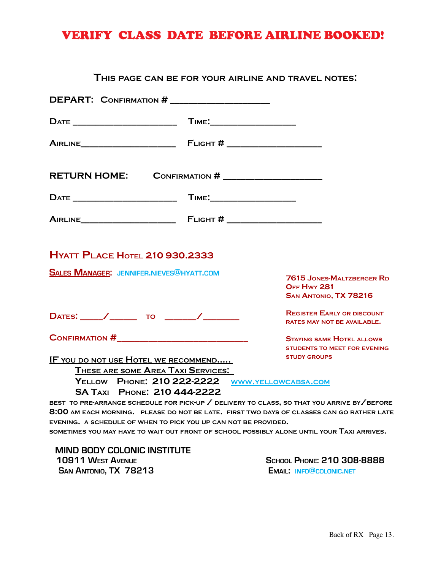## VERIFY CLASS DATE BEFORE AIRLINE BOOKED!

#### **This page can be for your airline and travel notes:**

| DEPART: CONFIRMATION # _____________________    |                                                                                              |
|-------------------------------------------------|----------------------------------------------------------------------------------------------|
|                                                 |                                                                                              |
|                                                 |                                                                                              |
| RETURN HOME: CONFIRMATION # ___________________ |                                                                                              |
|                                                 |                                                                                              |
|                                                 |                                                                                              |
| <b>HYATT PLACE HOTEL 210 930.2333</b>           |                                                                                              |
| <b>SALES MANAGER: JENNIFER.NIEVES@HYATT.COM</b> | <b>7615 JONES-MALTZBERGER RD</b><br>OFF Hwy 281<br>SAN ANTONIO, TX 78216                     |
| DATES: /___/ _______ TO ______/ _______         | <b>REGISTER EARLY OR DISCOUNT</b><br><b>RATES MAY NOT BE AVAILABLE.</b>                      |
|                                                 | <b>STAYING SAME HOTEL ALLOWS</b><br><b>STUDENTS TO MEET FOR EVENING</b>                      |
| <u>IF YOU DO NOT USE HOTEL WE RECOMMEND</u>     | <b>STUDY GROUPS</b>                                                                          |
| THESE ARE SOME AREA TAXI SERVICES:              |                                                                                              |
|                                                 | YELLOW PHONE: 210 222-2222 WWW.YELLOWCABSA.COM                                               |
| SA TAXI PHONE: 210 444-2222                     |                                                                                              |
|                                                 | BEST TO PRE ARRANGE SCHEDULE FOR PICK-UP / DELIVERY TO CLASS, SO THAT YOU ARRIVE BY / BEFORE |
|                                                 | 8:00 AM EACH MORNING. PLEASE DO NOT BE LATE. FIRST TWO DAYS OF CLASSES CAN GO RATHER LATE    |

**8:00 am each morning. please do not be late. first two days of classes can go rather late evening. a schedule of when to pick you up can not be provided.** 

**sometimes you may have to wait out front of school possibly alone until your Taxi arrives.**

 **MIND BODY COLONIC INSTITUTE 10911 West Avenue SCHOOL PHONE: 210 308-8888 San Antonio, TX 78213 Email: info@colonic.net**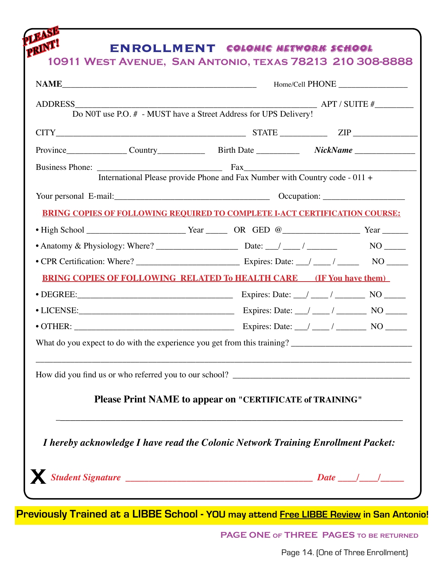|  | $CITY$ $ZIP$ $ZIP$                                                                |                                                                                  |  |  |
|--|-----------------------------------------------------------------------------------|----------------------------------------------------------------------------------|--|--|
|  | Province Country Country Birth Date NickName                                      |                                                                                  |  |  |
|  |                                                                                   |                                                                                  |  |  |
|  | International Please provide Phone and Fax Number with Country code - 011 +       |                                                                                  |  |  |
|  |                                                                                   |                                                                                  |  |  |
|  | <b>BRING COPIES OF FOLLOWING REOUIRED TO COMPLETE I-ACT CERTIFICATION COURSE:</b> |                                                                                  |  |  |
|  |                                                                                   |                                                                                  |  |  |
|  |                                                                                   |                                                                                  |  |  |
|  |                                                                                   |                                                                                  |  |  |
|  | <b>BRING COPIES OF FOLLOWING RELATED To HEALTH CARE (IF You have them)</b>        |                                                                                  |  |  |
|  |                                                                                   |                                                                                  |  |  |
|  |                                                                                   |                                                                                  |  |  |
|  |                                                                                   |                                                                                  |  |  |
|  |                                                                                   |                                                                                  |  |  |
|  | How did you find us or who referred you to our school? __________________________ |                                                                                  |  |  |
|  | Please Print NAME to appear on "CERTIFICATE of TRAINING"                          |                                                                                  |  |  |
|  |                                                                                   | I hereby acknowledge I have read the Colonic Network Training Enrollment Packet: |  |  |

**Previously Trained at a LIBBE School - YOU may attend Free LIBBE Review in San Antonio!**

**PAGE ONE of THREE PAGES to be returned**

**1091 Page 14. (One of Three Enrollment)**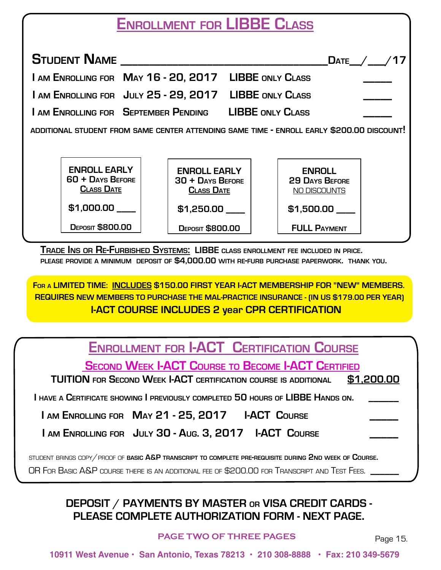# **Enrollment for LIBBE Class**

| <b>STUDENT NAME</b>                                          |                                                                                           | DATE $\sqrt{ }$                                        |  |
|--------------------------------------------------------------|-------------------------------------------------------------------------------------------|--------------------------------------------------------|--|
|                                                              | I AM ENROLLING FOR MAY 16 - 20, 2017 LIBBE ONLY CLASS                                     |                                                        |  |
|                                                              | I AM ENROLLING FOR JULY 25 - 29, 2017 LIBBE ONLY CLASS                                    |                                                        |  |
|                                                              | I AM ENROLLING FOR SEPTEMBER PENDING LIBBE ONLY CLASS                                     |                                                        |  |
|                                                              | ADDITIONAL STUDENT FROM SAME CENTER ATTENDING SAME TIME - ENROLL EARLY \$200.00 DISCOUNT! |                                                        |  |
|                                                              |                                                                                           |                                                        |  |
| <b>ENROLL EARLY</b><br>60 + DAYS BEFORE<br><b>CLASS DATE</b> | <b>ENROLL EARLY</b><br>30 + DAYS BEFORE<br><b>CLASS DATE</b>                              | <b>ENROLL</b><br><b>29 DAYS BEFORE</b><br>NO DISCOUNTS |  |
| \$1,000.00                                                   | \$1,250.00                                                                                | $$1,500.00$ $\_$                                       |  |
| <b>DEPOSIT \$800.00</b>                                      | <b>DEPOSIT \$800.00</b>                                                                   | <b>FULL PAYMENT</b>                                    |  |

 **Trade Ins or Re-Furbished Systems: LIBBE class enrollment fee included in price. please provide <sup>a</sup> minimum deposit of \$4,000.00 with re-furb purchase paperwork. thank you.**

**For a LIMITED TIME: INCLUDES \$150.00 FIRST YEAR I-ACT MEMBERSHIP FOR "NEW" MEMBERS. REQUIRES NEW MEMBERS TO PURCHASE THE MAL-PRACTICE INSURANCE - (IN US \$179.00 PER YEAR) I-ACT COURSE INCLUDES 2 year CPR CERTIFICATION**

# **Enrollment for I-ACT Certification Course**

**Second Week I-ACT Course to Become I-ACT Certified**

 **TUITION for Second Week I-ACT certification course is additional \$1,200.00**

 **I have a Certificate showing I previously completed 50 hours of LIBBE Hands on. \_\_\_\_\_\_** 

**I am Enrolling for May 21 - 25, 2017 I-ACT Course** 

**I AM ENROLLING FOR JULY 30 - AUG. 3, 2017 I-ACT COURSE** 

student brings copy/proof of **basic A&P transcript to complete pre-requisite during 2nd week of Course.** 

OR FOR BASIC A&P course there is an additional fee of \$200.00 for Transcript and Test Fees.

## **DEPOSIT / PAYMENTS BY MASTER or VISA CREDIT CARDS - PLEASE COMPLETE AUTHORIZATION FORM - NEXT PAGE.**

**PAGE TWO OF THREE PAGES** Page 15.

**10911 West Avenue • San Antonio, Texas 78213 • 210 308-8888 • Fax: 210 349-5679**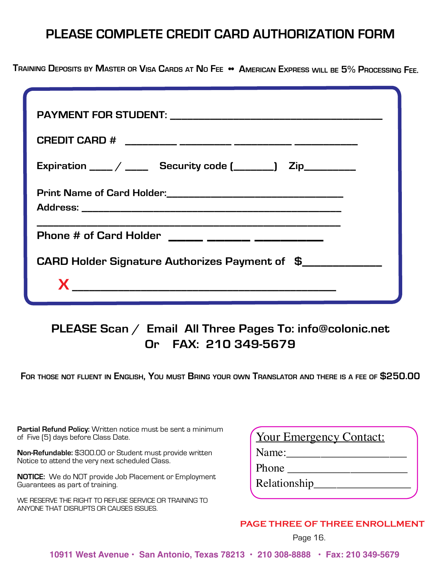## **PLEASE COMPLETE CREDIT CARD AUTHORIZATION FORM**

TRAINING DEPOSITS BY MASTER OR VISA CARDS AT NO FEE • AMERICAN EXPRESS WILL BE 5% PROCESSING FEE.

| Expiration $\frac{1}{\sqrt{2\pi}}$ Security code $\frac{1}{\sqrt{2\pi}}$ Zip |
|------------------------------------------------------------------------------|
|                                                                              |
| Phone # of Card Holder _____ _____ _____ _______                             |
| CARD Holder Signature Authorizes Payment of \$_____________                  |
|                                                                              |

## **PLEASE Scan / Email All Three Pages To: info@colonic.net Or FAX: 210 349-5679**

**For those not fluent in English, You must Bring your own Translator and there is <sup>a</sup> fee of \$250.00**

**Partial Refund Policy:** Written notice must be sent a minimum of Five (5) days before Class Date.

**Non-Refundable:** \$300.00 or Student must provide written Notice to attend the very next scheduled Class.

**NOTICE:** We do NOT provide Job Placement or Employment Guarantees as part of training.

WE RESERVE THE RIGHT TO REFUSE SERVICE OR TRAINING TO ANYONE THAT DISRUPTS OR CAUSES ISSUES.

|       | <b>Your Emergency Contact:</b> |  |
|-------|--------------------------------|--|
| Name: |                                |  |
| Phone |                                |  |
|       | Relationship                   |  |

#### **PAGE THREE OF THREE ENROLLMENT**

Page 16.

**10911 West Avenue • San Antonio, Texas 78213 • 210 308-8888 • Fax: 210 349-5679**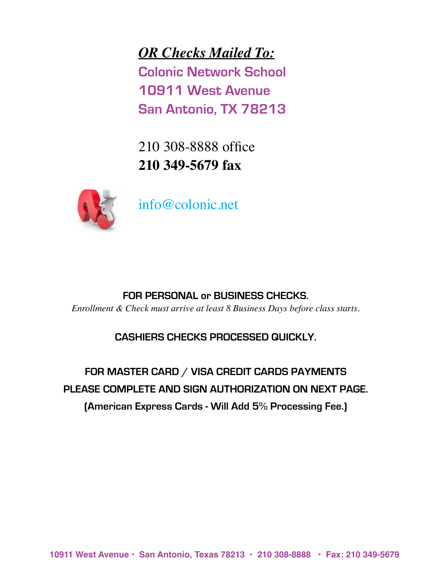*OR Checks Mailed To:* **Colonic Network School 10911 West Avenue San Antonio, TX 78213**

210 308-8888 office **210 349-5679 fax**

![](_page_16_Picture_2.jpeg)

info@colonic.net

#### **FOR PERSONAL or BUSINESS CHECKS.**

*Enrollment & Check must arrive at least 8 Business Days before class starts.*

### **CASHIERS CHECKS PROCESSED QUICKLY.**

**FOR MASTER CARD / VISA CREDIT CARDS PAYMENTS PLEASE COMPLETE AND SIGN AUTHORIZATION ON NEXT PAGE. (American Express Cards - Will Add 5% Processing Fee.)**